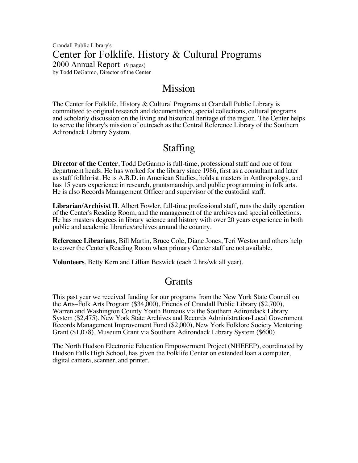Crandall Public Library's Center for Folklife, History & Cultural Programs 2000 Annual Report (9 pages) by Todd DeGarmo, Director of the Center

# Mission

The Center for Folklife, History & Cultural Programs at Crandall Public Library is committeed to original research and documentation, special collections, cultural programs and scholarly discussion on the living and historical heritage of the region. The Center helps to serve the library's mission of outreach as the Central Reference Library of the Southern Adirondack Library System.

# Staffing

**Director of the Center**, Todd DeGarmo is full-time, professional staff and one of four department heads. He has worked for the library since 1986, first as a consultant and later as staff folklorist. He is A.B.D. in American Studies, holds a masters in Anthropology, and has 15 years experience in research, grantsmanship, and public programming in folk arts. He is also Records Management Officer and supervisor of the custodial staff.

**Librarian/Archivist II**, Albert Fowler, full-time professional staff, runs the daily operation of the Center's Reading Room, and the management of the archives and special collections. He has masters degrees in library science and history with over 20 years experience in both public and academic libraries/archives around the country.

**Reference Librarians**, Bill Martin, Bruce Cole, Diane Jones, Teri Weston and others help to cover the Center's Reading Room when primary Center staff are not available.

**Volunteers**, Betty Kern and Lillian Beswick (each 2 hrs/wk all year).

# **Grants**

This past year we received funding for our programs from the New York State Council on the Arts–Folk Arts Program (\$34,000), Friends of Crandall Public Library (\$2,700), Warren and Washington County Youth Bureaus via the Southern Adirondack Library System (\$2,475), New York State Archives and Records Administration-Local Government Records Management Improvement Fund (\$2,000), New York Folklore Society Mentoring Grant (\$1,078), Museum Grant via Southern Adirondack Library System (\$600).

The North Hudson Electronic Education Empowerment Project (NHEEEP), coordinated by Hudson Falls High School, has given the Folklife Center on extended loan a computer, digital camera, scanner, and printer.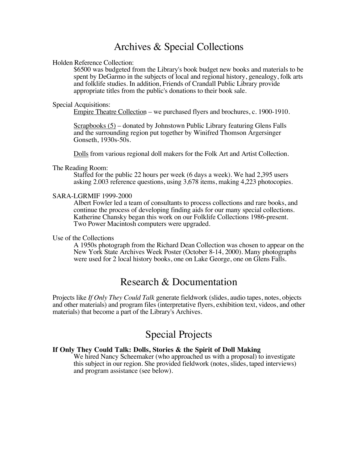# Archives & Special Collections

## Holden Reference Collection:

\$6500 was budgeted from the Library's book budget new books and materials to be spent by DeGarmo in the subjects of local and regional history, genealogy, folk arts and folklife studies. In addition, Friends of Crandall Public Library provide appropriate titles from the public's donations to their book sale.

#### Special Acquisitions:

Empire Theatre Collection – we purchased flyers and brochures, c. 1900-1910.

Scrapbooks (5) – donated by Johnstown Public Library featuring Glens Falls and the surrounding region put together by Winifred Thomson Argersinger Gonseth, 1930s-50s.

Dolls from various regional doll makers for the Folk Art and Artist Collection.

# The Reading Room:

Staffed for the public 22 hours per week (6 days a week). We had 2,395 users asking 2.003 reference questions, using 3,678 items, making 4,223 photocopies.

## SARA-LGRMIF 1999-2000

Albert Fowler led a team of consultants to process collections and rare books, and continue the process of developing finding aids for our many special collections. Katherine Chansky began this work on our Folklife Collections 1986-present. Two Power Macintosh computers were upgraded.

# Use of the Collections

A 1950s photograph from the Richard Dean Collection was chosen to appear on the New York State Archives Week Poster (October 8-14, 2000). Many photographs were used for 2 local history books, one on Lake George, one on Glens Falls.

# Research & Documentation

Projects like *If Only They Could Talk* generate fieldwork (slides, audio tapes, notes, objects and other materials) and program files (interpretative flyers, exhibition text, videos, and other materials) that become a part of the Library's Archives.

# Special Projects

# **If Only They Could Talk: Dolls, Stories & the Spirit of Doll Making**

We hired Nancy Scheemaker (who approached us with a proposal) to investigate this subject in our region. She provided fieldwork (notes, slides, taped interviews) and program assistance (see below).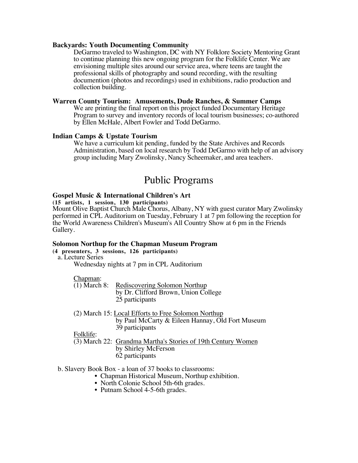## **Backyards: Youth Documenting Community**

DeGarmo traveled to Washington, DC with NY Folklore Society Mentoring Grant to continue planning this new ongoing program for the Folklife Center. We are envisioning multiple sites around our service area, where teens are taught the professional skills of photography and sound recording, with the resulting documention (photos and recordings) used in exhibitions, radio production and collection building.

# **Warren County Tourism: Amusements, Dude Ranches, & Summer Camps**

We are printing the final report on this project funded Documentary Heritage Program to survey and inventory records of local tourism businesses; co-authored by Ellen McHale, Albert Fowler and Todd DeGarmo.

# **Indian Camps & Upstate Tourism**

We have a curriculum kit pending, funded by the State Archives and Records Administration, based on local research by Todd DeGarmo with help of an advisory group including Mary Zwolinsky, Nancy Scheemaker, and area teachers.

# Public Programs

## **Gospel Music & International Children's Art**

**(15 artists, 1 session, 130 participants)** Mount Olive Baptist Church Male Chorus, Albany, NY with guest curator Mary Zwolinsky performed in CPL Auditorium on Tuesday, February 1 at 7 pm following the reception for the World Awareness Children's Museum's All Country Show at 6 pm in the Friends

# **Solomon Northup for the Chapman Museum Program**

**(4 presenters, 3 sessions, 126 participants)** a. Lecture Series

Wednesday nights at 7 pm in CPL Auditorium

Chapman:

Gallery.

(1) March 8: Rediscovering Solomon Northup by Dr. Clifford Brown, Union College 25 participants

(2) March 15: Local Efforts to Free Solomon Northup by Paul McCarty & Eileen Hannay, Old Fort Museum 39 participants

Folklife:

(3) March 22: Grandma Martha's Stories of 19th Century Women by Shirley McFerson 62 participants

# b. Slavery Book Box - a loan of 37 books to classrooms:

- Chapman Historical Museum, Northup exhibition.
- North Colonie School 5th-6th grades.
- Putnam School 4-5-6th grades.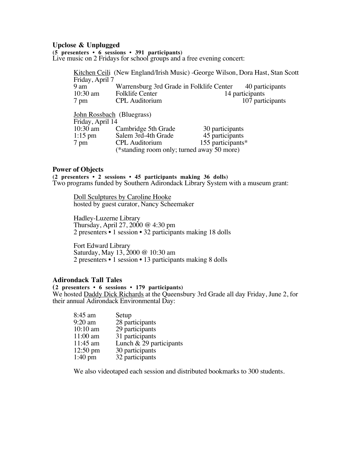## **Upclose & Unplugged**

**(5 presenters • 6 sessions • 391 participants)**

Live music on 2 Fridays for school groups and a free evening concert:

Kitchen Ceili (New England/Irish Music) -George Wilson, Dora Hast, Stan Scott Friday, April 7 9 am Warrensburg 3rd Grade in Folklife Center 40 participants<br>10:30 am Folklife Center 14 participants Folklife Center<br>CPL Auditorium 7 pm CPL Auditorium 107 participants John Rossbach (Bluegrass) Friday, April 14<br>10:30 am 10:30 am Cambridge 5th Grade 30 participants<br>1:15 pm Salem 3rd-4th Grade 45 participants

1:15 pm Salem 3rd-4th Grade<br>7 pm CPL Auditorium 155 participants $*$ (\*standing room only; turned away 50 more)

**Power of Objects**<br>(2 presenters • 2 sessions • 45 participants making 36 dolls) Two programs funded by Southern Adirondack Library System with a museum grant:

Doll Sculptures by Caroline Hooke hosted by guest curator, Nancy Scheemaker

Hadley-Luzerne Library Thursday, April 27, 2000 @ 4:30 pm 2 presenters • 1 session • 32 participants making 18 dolls

Fort Edward Library Saturday, May 13, 2000 @ 10:30 am 2 presenters • 1 session • 13 participants making 8 dolls

## **Adirondack Tall Tales**

**(2 presenters • 6 sessions • 179 participants)** We hosted Daddy Dick Richards at the Queensbury 3rd Grade all day Friday, June 2, for their annual Adirondack Environmental Day:

| 8:45 am            | Setup                     |
|--------------------|---------------------------|
| $9:20$ am          | 28 participants           |
| $10:10$ am         | 29 participants           |
| $11:00$ am         | 31 participants           |
| $11:45$ am         | Lunch $& 29$ participants |
| $12:50 \text{ pm}$ | 30 participants           |
| $1:40 \text{ pm}$  | 32 participants           |

We also videotaped each session and distributed bookmarks to 300 students.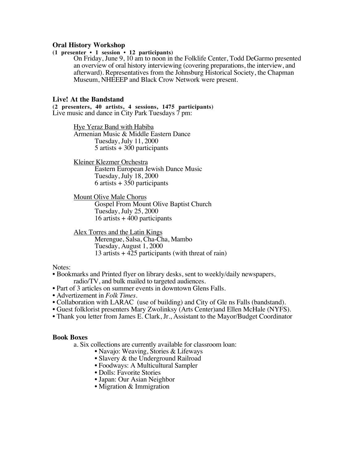# **Oral History Workshop**

# **(1 presenter • 1 session • 12 participants)**

On Friday, June 9, 10 am to noon in the Folklife Center, Todd DeGarmo presented an overview of oral history interviewing (covering preparations, the interview, and afterward). Representatives from the Johnsburg Historical Society, the Chapman Museum, NHEEEP and Black Crow Network were present.

# **Live! At the Bandstand**

**(2 presenters, 40 artists, 4 sessions, 1475 participants)** Live music and dance in City Park Tuesdays 7 pm:

> Hye Yeraz Band with Habiba Armenian Music & Middle Eastern Dance Tuesday, July 11, 2000 5 artists + 300 participants

Kleiner Klezmer Orchestra Eastern European Jewish Dance Music Tuesday, July 18, 2000 6 artists + 350 participants

Mount Olive Male Chorus Gospel From Mount Olive Baptist Church Tuesday, July 25, 2000 16 artists + 400 participants

Alex Torres and the Latin Kings Merengue, Salsa, Cha-Cha, Mambo Tuesday, August 1, 2000 13 artists + 425 participants (with threat of rain)

## Notes:

- Bookmarks and Printed flyer on library desks, sent to weekly/daily newspapers, radio/TV, and bulk mailed to targeted audiences.
- Part of 3 articles on summer events in downtown Glens Falls.
- Advertizement in *Folk Times.*
- Collaboration with LARAC (use of building) and City of Gle ns Falls (bandstand).
- Guest folklorist presenters Mary Zwolinksy (Arts Center)and Ellen McHale (NYFS).
- Thank you letter from James E. Clark, Jr., Assistant to the Mayor/Budget Coordinator

# **Book Boxes**

a. Six collections are currently available for classroom loan:

- Navajo: Weaving, Stories & Lifeways
- Slavery & the Underground Railroad
- Foodways: A Multicultural Sampler
- Dolls: Favorite Stories
- Japan: Our Asian Neighbor
- Migration & Immigration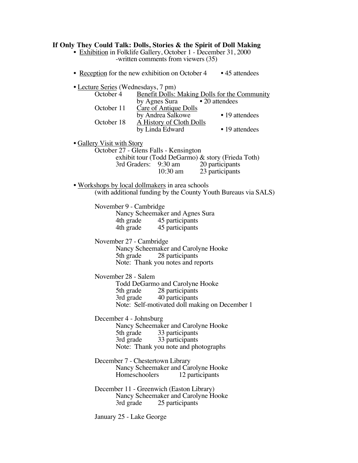| If Only They Could Talk: Dolls, Stories & the Spirit of Doll Making<br>• Exhibition in Folklife Gallery, October 1 - December 31, 2000                                                                                                                                                                          |
|-----------------------------------------------------------------------------------------------------------------------------------------------------------------------------------------------------------------------------------------------------------------------------------------------------------------|
| -written comments from viewers (35)                                                                                                                                                                                                                                                                             |
| • Reception for the new exhibition on October 4 • 45 attendees                                                                                                                                                                                                                                                  |
| • Lecture Series (Wednesdays, 7 pm)<br>October 4<br><b>Benefit Dolls: Making Dolls for the Community</b><br>• 20 attendees<br>by Agnes Sura<br>October 11<br><b>Care of Antique Dolls</b><br>by Andrea Salkowe<br>• 19 attendees<br>October 18<br>A History of Cloth Dolls<br>• 19 attendees<br>by Linda Edward |
| • Gallery Visit with Story<br>October 27 - Glens Falls - Kensington                                                                                                                                                                                                                                             |
| exhibit tour (Todd DeGarmo) & story (Frieda Toth)                                                                                                                                                                                                                                                               |
| 3rd Graders: 9:30 am<br>20 participants<br>$10:30$ am<br>23 participants                                                                                                                                                                                                                                        |
| . Workshops by local dollmakers in area schools                                                                                                                                                                                                                                                                 |
| (with additional funding by the County Youth Bureaus via SALS)                                                                                                                                                                                                                                                  |
| November 9 - Cambridge<br>Nancy Scheemaker and Agnes Sura<br>4th grade 45 participants<br>4th grade 45 participants                                                                                                                                                                                             |
| November 27 - Cambridge<br>Nancy Scheemaker and Carolyne Hooke<br>28 participants<br>5th grade<br>Note: Thank you notes and reports                                                                                                                                                                             |
| November 28 - Salem<br>Todd DeGarmo and Carolyne Hooke<br>28 participants<br>5th grade<br>$3rd \overline{grade}$<br>40 participants<br>Note: Self-motivated doll making on December 1                                                                                                                           |
| December 4 - Johnsburg<br>Nancy Scheemaker and Carolyne Hooke<br>33 participants<br>5th grade<br>33 participants<br>3rd grade<br>Note: Thank you note and photographs                                                                                                                                           |
| December 7 - Chestertown Library<br>Nancy Scheemaker and Carolyne Hooke<br>Homeschoolers<br>12 participants                                                                                                                                                                                                     |
| December 11 - Greenwich (Easton Library)<br>Nancy Scheemaker and Carolyne Hooke<br>3rd grade<br>25 participants                                                                                                                                                                                                 |
| January 25 - Lake George                                                                                                                                                                                                                                                                                        |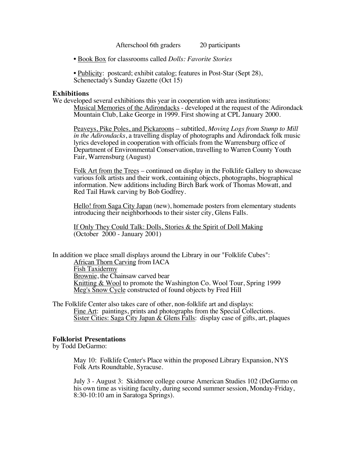Afterschool 6th graders 20 participants

- Book Box for classrooms called *Dolls: Favorite Stories*
- Publicity: postcard; exhibit catalog; features in Post-Star (Sept 28), Schenectady's Sunday Gazette (Oct 15)

# **Exhibitions**

We developed several exhibitions this year in cooperation with area institutions: Musical Memories of the Adirondacks - developed at the request of the Adirondack Mountain Club, Lake George in 1999. First showing at CPL January 2000.

Peaveys, Pike Poles, and Pickaroons – subtitled, *Moving Logs from Stump to Mill in the Adirondacks*, a travelling display of photographs and Adirondack folk music lyrics developed in cooperation with officials from the Warrensburg office of Department of Environmental Conservation, travelling to Warren County Youth Fair, Warrensburg (August)

Folk Art from the Trees – continued on display in the Folklife Gallery to showcase various folk artists and their work, containing objects, photographs, biographical information. New additions including Birch Bark work of Thomas Mowatt, and Red Tail Hawk carving by Bob Godfrey.

Hello! from Saga City Japan (new), homemade posters from elementary students introducing their neighborhoods to their sister city, Glens Falls.

If Only They Could Talk: Dolls, Stories & the Spirit of Doll Making (October 2000 - January 2001)

In addition we place small displays around the Library in our "Folklife Cubes": African Thorn Carving from IACA Fish Taxidermy Brownie, the Chainsaw carved bear Knitting & Wool to promote the Washington Co. Wool Tour, Spring 1999 Meg's Snow Cycle constructed of found objects by Fred Hill

The Folklife Center also takes care of other, non-folklife art and displays: Fine Art: paintings, prints and photographs from the Special Collections. Sister Cities: Saga City Japan & Glens Falls: display case of gifts, art, plaques

# **Folklorist Presentations**

by Todd DeGarmo:

May 10: Folklife Center's Place within the proposed Library Expansion, NYS Folk Arts Roundtable, Syracuse.

July 3 - August 3: Skidmore college course American Studies 102 (DeGarmo on his own time as visiting faculty, during second summer session, Monday-Friday, 8:30-10:10 am in Saratoga Springs).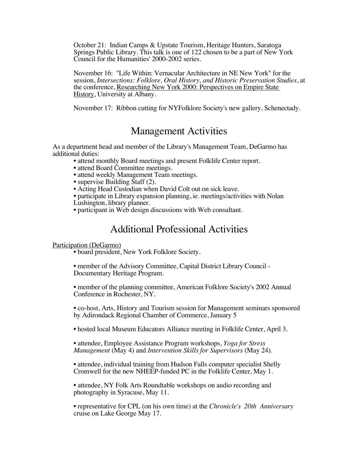October 21: Indian Camps & Upstate Tourism, Heritage Hunters, Saratoga Springs Public Library. This talk is one of 122 chosen to be a part of New York Council for the Humanities' 2000-2002 series.

November 16: "Life Within: Vernacular Architecture in NE New York" for the session, *Intersections: Folklore, Oral History, and Historic Preservation Studies*, at the conference, Researching New York 2000: Perspectives on Empire State History, University at Albany.

November 17: Ribbon cutting for NYFolklore Society's new gallery, Schenectady.

# Management Activities

As a department head and member of the Library's Management Team, DeGarmo has additional duties:

• attend monthly Board meetings and present Folklife Center report.

- attend Board Committee meetings.
- attend weekly Management Team meetings.
- supervise Building Staff (2).

• Acting Head Custodian when David Colt out on sick leave.

• participate in Library expansion planning, ie. meetings/activities with Nolan Lushington, library planner.

• participant in Web design discussions with Web consultant.

# Additional Professional Activities

# Participation (DeGarmo)

• board president, New York Folklore Society.

• member of the Advisory Committee, Capital District Library Council - Documentary Heritage Program.

• member of the planning committee, American Folklore Society's 2002 Annual Conference in Rochester, NY.

• co-host, Arts, History and Tourism session for Management seminars sponsored by Adirondack Regional Chamber of Commerce, January 5

• hosted local Museum Educators Alliance meeting in Folklife Center, April 3.

• attendee, Employee Assistance Program workshops, *Yoga for Stress Management* (May 4) and *Intervention Skills for Supervisors* (May 24).

• attendee, individual training from Hudson Falls computer specialist Shelly Cromwell for the new NHEEP-funded PC in the Folklife Center, May 1.

• attendee, NY Folk Arts Roundtable workshops on audio recording and photography in Syracuse, May 11.

• representative for CPL (on his own time) at the *Chronicle's 20th Anniversary*  cruise on Lake George May 17.